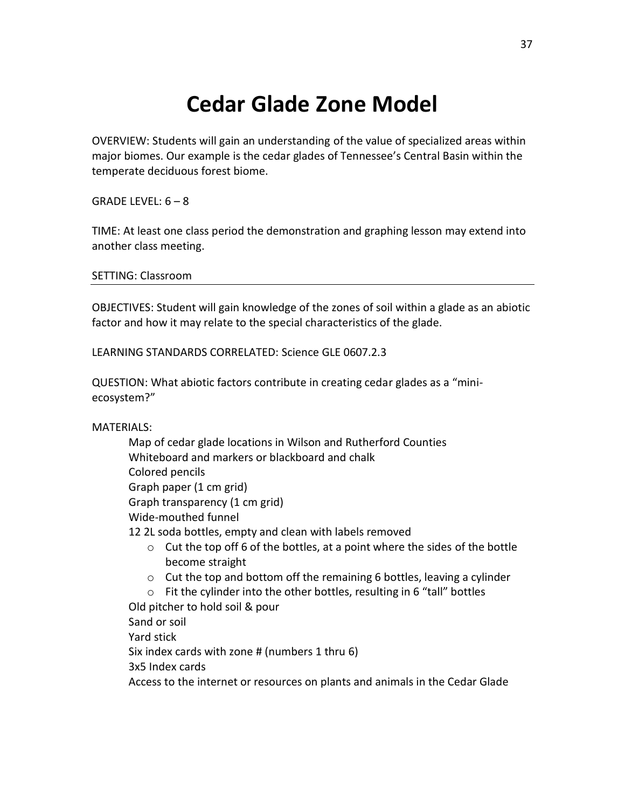## **Cedar Glade Zone Model**

OVERVIEW: Students will gain an understanding of the value of specialized areas within major biomes. Our example is the cedar glades of Tennessee's Central Basin within the temperate deciduous forest biome.

GRADE LEVEL:  $6 - 8$ 

TIME: At least one class period the demonstration and graphing lesson may extend into another class meeting.

SETTING: Classroom

OBJECTIVES: Student will gain knowledge of the zones of soil within a glade as an abiotic factor and how it may relate to the special characteristics of the glade.

LEARNING STANDARDS CORRELATED: Science GLE 0607.2.3

QUESTION: What abiotic factors contribute in creating cedar glades as a "miniecosystem?"

MATERIALS:

- Map of cedar glade locations in Wilson and Rutherford Counties Whiteboard and markers or blackboard and chalk Colored pencils Graph paper (1 cm grid) Graph transparency (1 cm grid) Wide-mouthed funnel 12 2L soda bottles, empty and clean with labels removed  $\circ$  Cut the top off 6 of the bottles, at a point where the sides of the bottle become straight
	- o Cut the top and bottom off the remaining 6 bottles, leaving a cylinder
	- o Fit the cylinder into the other bottles, resulting in 6 "tall" bottles

Old pitcher to hold soil & pour

Sand or soil

Yard stick

Six index cards with zone # (numbers 1 thru 6)

3x5 Index cards

Access to the internet or resources on plants and animals in the Cedar Glade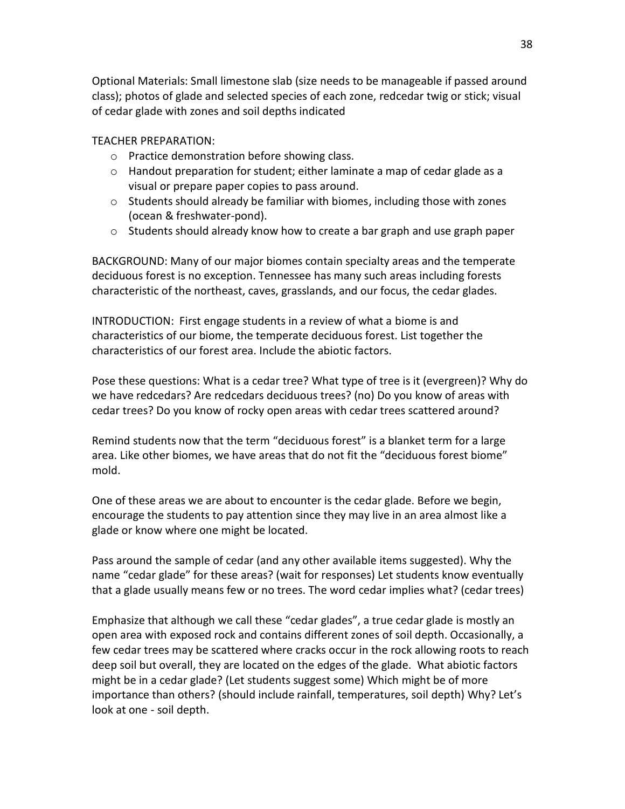Optional Materials: Small limestone slab (size needs to be manageable if passed around class); photos of glade and selected species of each zone, redcedar twig or stick; visual of cedar glade with zones and soil depths indicated

## TEACHER PREPARATION:

- o Practice demonstration before showing class.
- $\circ$  Handout preparation for student; either laminate a map of cedar glade as a visual or prepare paper copies to pass around.
- o Students should already be familiar with biomes, including those with zones (ocean & freshwater-pond).
- $\circ$  Students should already know how to create a bar graph and use graph paper

BACKGROUND: Many of our major biomes contain specialty areas and the temperate deciduous forest is no exception. Tennessee has many such areas including forests characteristic of the northeast, caves, grasslands, and our focus, the cedar glades.

INTRODUCTION: First engage students in a review of what a biome is and characteristics of our biome, the temperate deciduous forest. List together the characteristics of our forest area. Include the abiotic factors.

Pose these questions: What is a cedar tree? What type of tree is it (evergreen)? Why do we have redcedars? Are redcedars deciduous trees? (no) Do you know of areas with cedar trees? Do you know of rocky open areas with cedar trees scattered around?

Remind students now that the term "deciduous forest" is a blanket term for a large area. Like other biomes, we have areas that do not fit the "deciduous forest biome" mold.

One of these areas we are about to encounter is the cedar glade. Before we begin, encourage the students to pay attention since they may live in an area almost like a glade or know where one might be located.

Pass around the sample of cedar (and any other available items suggested). Why the name "cedar glade" for these areas? (wait for responses) Let students know eventually that a glade usually means few or no trees. The word cedar implies what? (cedar trees)

Emphasize that although we call these "cedar glades", a true cedar glade is mostly an open area with exposed rock and contains different zones of soil depth. Occasionally, a few cedar trees may be scattered where cracks occur in the rock allowing roots to reach deep soil but overall, they are located on the edges of the glade. What abiotic factors might be in a cedar glade? (Let students suggest some) Which might be of more importance than others? (should include rainfall, temperatures, soil depth) Why? Let's look at one - soil depth.